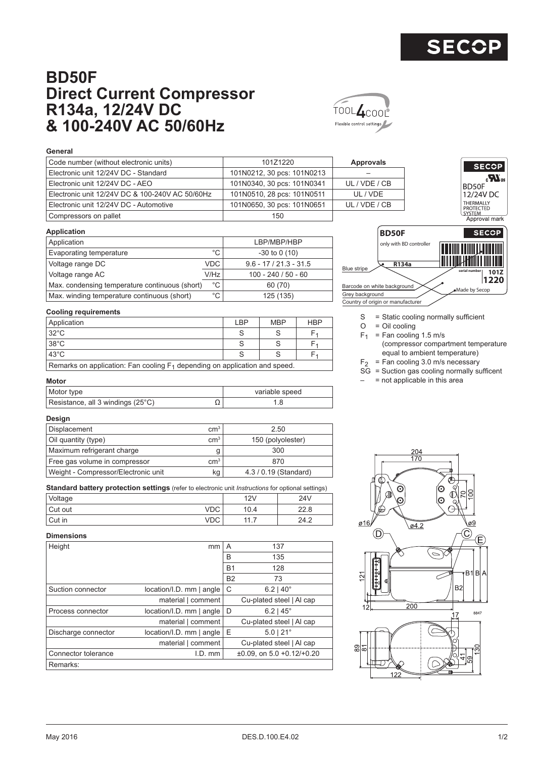

**SECOP**  $\mathbf{R}$ 

**BD50F** 12/24V DC

# **BD50F Direct Current Compressor R134a, 12/24V DC & 100-240V AC 50/60Hz**



#### **General**

| Code number (without electronic units)          | 101Z1220                   | <b>Approvals</b> |
|-------------------------------------------------|----------------------------|------------------|
| Electronic unit 12/24V DC - Standard            | 101N0212, 30 pcs: 101N0213 |                  |
| Electronic unit 12/24V DC - AEO                 | 101N0340, 30 pcs: 101N0341 | UL/VDE/CB        |
| Electronic unit 12/24V DC & 100-240V AC 50/60Hz | 101N0510, 28 pcs: 101N0511 | UL / VDE         |
| Electronic unit 12/24V DC - Automotive          | 101N0650, 30 pcs: 101N0651 | UL/VDE/CB        |
| Compressors on pallet                           | 150                        |                  |

### **Application**

| Application                                    |              | LBP/MBP/HBP              |
|------------------------------------------------|--------------|--------------------------|
| Evaporating temperature                        | $^{\circ}$ C | $-30$ to 0 (10)          |
| Voltage range DC                               | <b>VDC</b>   | $9.6 - 17 / 21.3 - 31.5$ |
| Voltage range AC                               | V/Hz         | $100 - 240 / 50 - 60$    |
| Max. condensing temperature continuous (short) | $^{\circ}$ C | 60 (70)                  |
| Max. winding temperature continuous (short)    | $^{\circ}$ C | 125 (135)                |

### **Cooling requirements**

| Application                                                                   | I BP | <b>MBP</b> | <b>HBP</b> |  |  |  |  |  |
|-------------------------------------------------------------------------------|------|------------|------------|--|--|--|--|--|
| 132°C                                                                         |      |            | F4         |  |  |  |  |  |
| $38^{\circ}$ C                                                                |      |            | F,         |  |  |  |  |  |
| $43^{\circ}$ C                                                                |      |            | ۰F.        |  |  |  |  |  |
| Remarks on application: Fan cooling $F_1$ depending on application and speed. |      |            |            |  |  |  |  |  |

Remarks on application: Fan cooling  $F_1$  depending on application and speed.

| <b>Motor</b>                      |                |
|-----------------------------------|----------------|
| Motor type                        | variable speed |
| Resistance, all 3 windings (25°C) | 1.8            |

## **Design**

| Displacement                        | cm <sup>3</sup> | 2.50                  |
|-------------------------------------|-----------------|-----------------------|
| Oil quantity (type)                 | cm <sup>3</sup> | 150 (polyolester)     |
| Maximum refrigerant charge          |                 | 300                   |
| Free gas volume in compressor       | cm <sup>3</sup> | 870                   |
| Weight - Compressor/Electronic unit | kg              | 4.3 / 0.19 (Standard) |

| <b>Standard battery protection settings</b> (refer to electronic unit <i>Instructions</i> for optional settings) |            |      |      |  |  |  |  |  |  |
|------------------------------------------------------------------------------------------------------------------|------------|------|------|--|--|--|--|--|--|
| Voltage                                                                                                          |            | 12V  | 24V  |  |  |  |  |  |  |
| Cut out                                                                                                          | <b>VDC</b> | 10.4 | 22.8 |  |  |  |  |  |  |
| Cut in                                                                                                           | <b>VDC</b> | 11 7 | 24.2 |  |  |  |  |  |  |

| Height              | mm                       | A              | 137                             |
|---------------------|--------------------------|----------------|---------------------------------|
|                     |                          | B              | 135                             |
|                     |                          | B <sub>1</sub> | 128                             |
|                     |                          | <b>B2</b>      | 73                              |
| Suction connector   | location/I.D. mm   angle | С              | $6.2$   40 $^{\circ}$           |
|                     | material   comment       |                | Cu-plated steel   Al cap        |
| Process connector   | location/I.D. mm   angle | D              | $6.2$   45 $^{\circ}$           |
|                     | material   comment       |                | Cu-plated steel   Al cap        |
| Discharge connector | location/I.D. mm   angle | Ε              | $5.0$   21 $^{\circ}$           |
|                     | material   comment       |                | Cu-plated steel   Al cap        |
| Connector tolerance | I.D. mm                  |                | $\pm 0.09$ , on 5.0 +0.12/+0.20 |
| Remarks:            |                          |                |                                 |



- S = Static cooling normally sufficient
- $O = Oil$  cooling
- $F_1$  = Fan cooling 1.5 m/s
- (compressor compartment temperature equal to ambient temperature)
- $F_2$  = Fan cooling 3.0 m/s necessary
- $SG =$  Suction gas cooling normally sufficent
- $-$  = not applicable in this area